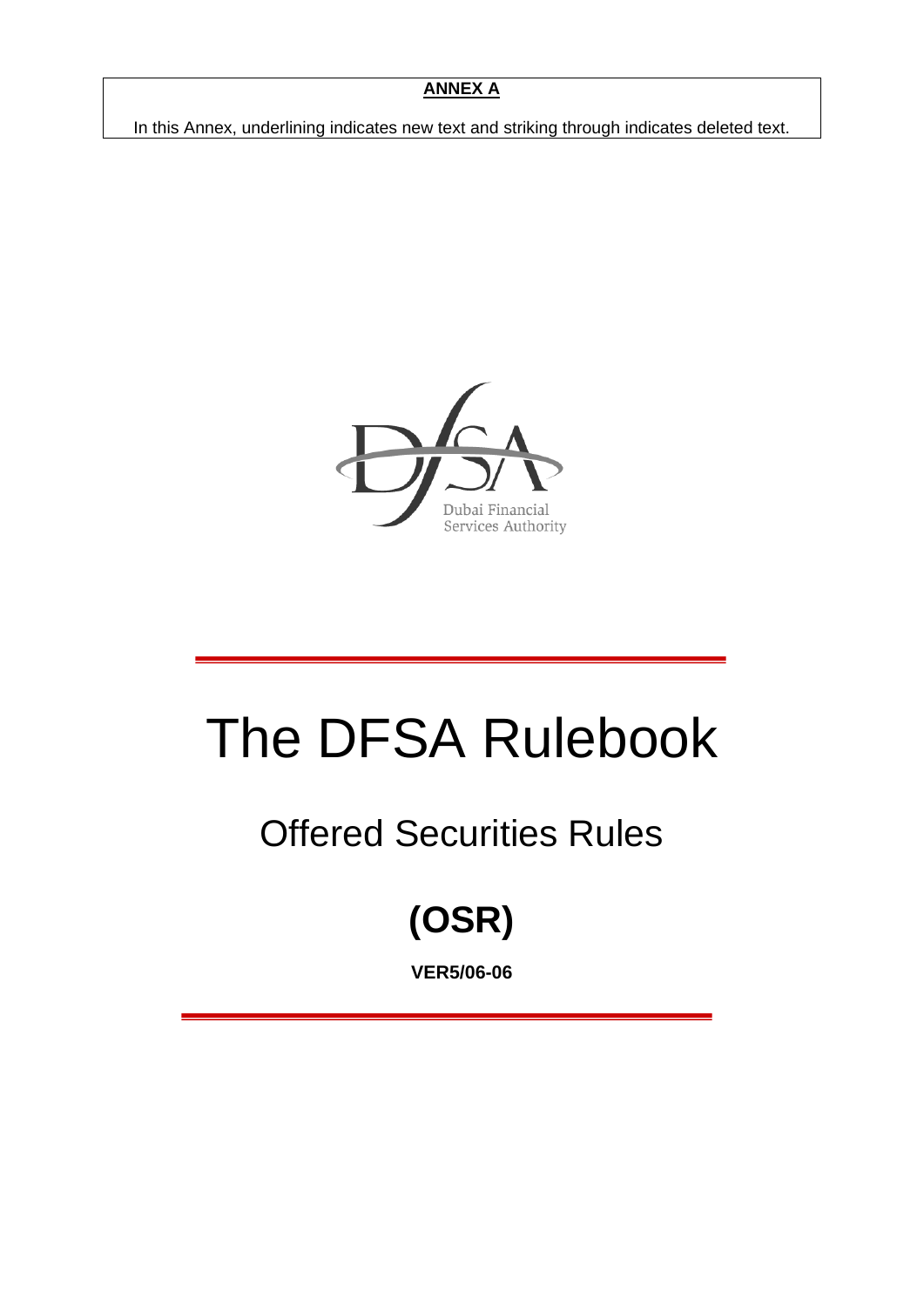#### **ANNEX A**

In this Annex, underlining indicates new text and striking through indicates deleted text.



# The DFSA Rulebook

## Offered Securities Rules

## **(OSR)**

**VER5/06-06**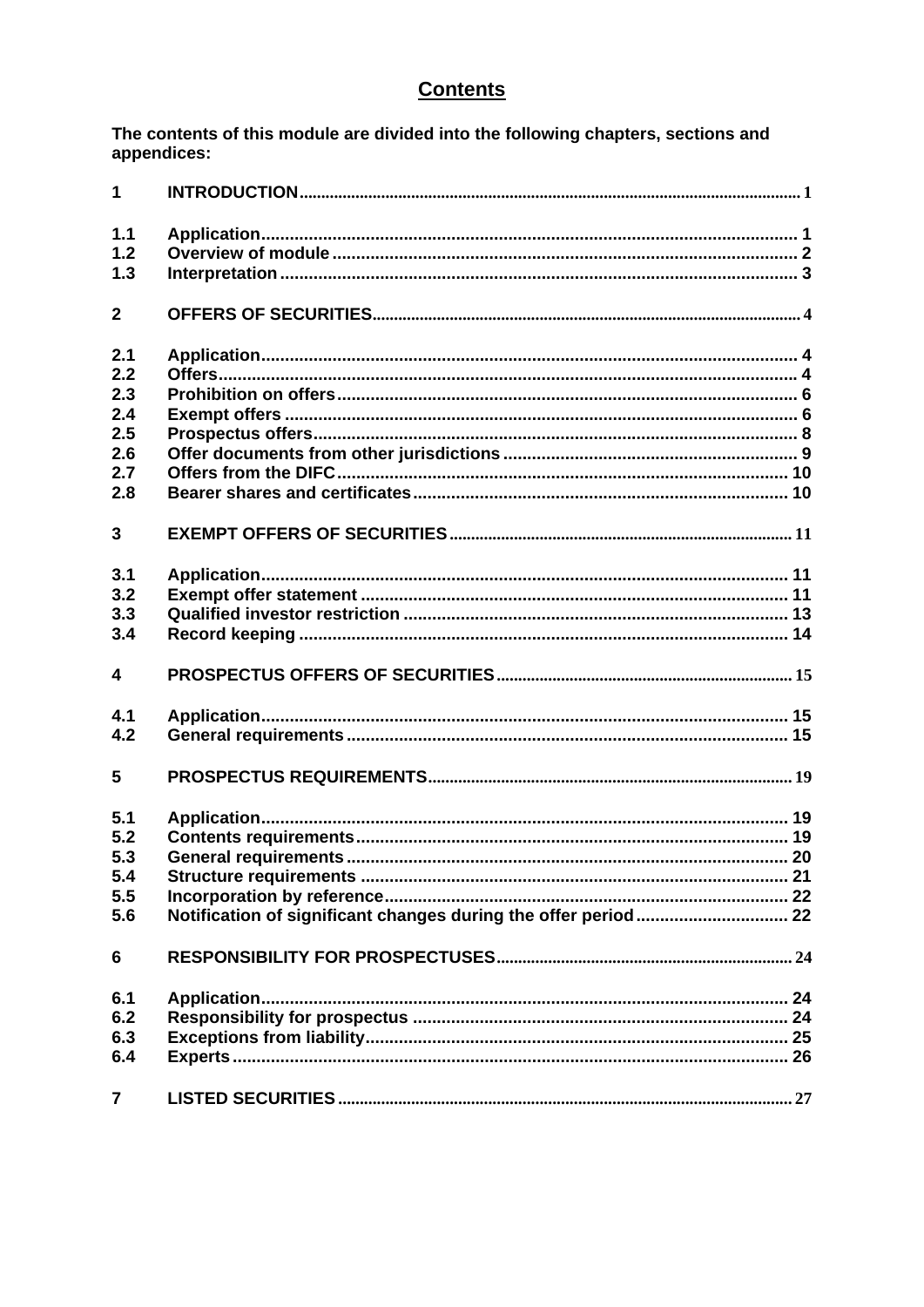## **Contents**

The contents of this module are divided into the following chapters, sections and appendices:

| $\mathbf{1}$            |  |
|-------------------------|--|
| 1.1                     |  |
| 1.2                     |  |
| 1.3                     |  |
| $\overline{2}$          |  |
| 2.1                     |  |
| 2.2                     |  |
| 2.3                     |  |
| 2.4                     |  |
| 2.5                     |  |
| 2.6                     |  |
| 2.7                     |  |
| 2.8                     |  |
| 3                       |  |
| 3.1                     |  |
| 3.2                     |  |
| 3.3                     |  |
| 3.4                     |  |
| $\overline{\mathbf{4}}$ |  |
| 4.1                     |  |
| 4.2                     |  |
| 5                       |  |
| 5.1                     |  |
| 5.2                     |  |
| 5.3                     |  |
| 5.4                     |  |
| 5.5                     |  |
| 5.6                     |  |
| 6                       |  |
| 6.1                     |  |
| 6.2                     |  |
| 6.3                     |  |
| 6.4                     |  |
| $\overline{\mathbf{7}}$ |  |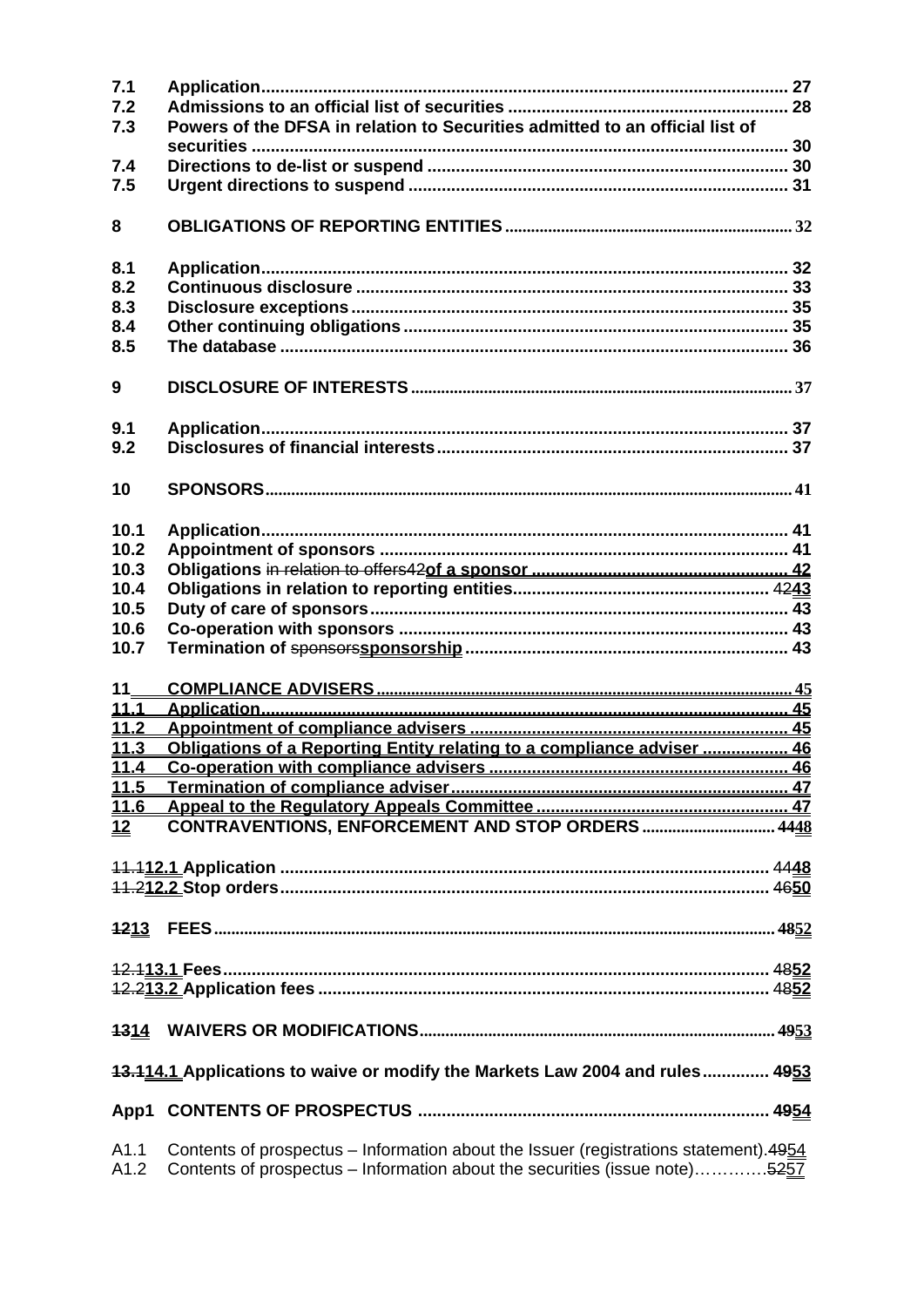| 7.1<br>7.2<br>7.3                                                            | Powers of the DFSA in relation to Securities admitted to an official list of                                                                                        |  |  |  |
|------------------------------------------------------------------------------|---------------------------------------------------------------------------------------------------------------------------------------------------------------------|--|--|--|
|                                                                              |                                                                                                                                                                     |  |  |  |
| 7.4                                                                          |                                                                                                                                                                     |  |  |  |
| 7.5                                                                          |                                                                                                                                                                     |  |  |  |
| 8                                                                            |                                                                                                                                                                     |  |  |  |
| 8.1                                                                          |                                                                                                                                                                     |  |  |  |
| 8.2                                                                          |                                                                                                                                                                     |  |  |  |
| 8.3                                                                          |                                                                                                                                                                     |  |  |  |
| 8.4                                                                          |                                                                                                                                                                     |  |  |  |
| 8.5                                                                          |                                                                                                                                                                     |  |  |  |
| 9                                                                            |                                                                                                                                                                     |  |  |  |
| 9.1                                                                          |                                                                                                                                                                     |  |  |  |
| 9.2                                                                          |                                                                                                                                                                     |  |  |  |
| 10                                                                           |                                                                                                                                                                     |  |  |  |
|                                                                              |                                                                                                                                                                     |  |  |  |
| 10.1                                                                         |                                                                                                                                                                     |  |  |  |
| 10.2                                                                         |                                                                                                                                                                     |  |  |  |
| 10.3                                                                         |                                                                                                                                                                     |  |  |  |
| 10.4                                                                         |                                                                                                                                                                     |  |  |  |
| 10.5                                                                         |                                                                                                                                                                     |  |  |  |
| 10.6                                                                         |                                                                                                                                                                     |  |  |  |
| 10.7                                                                         |                                                                                                                                                                     |  |  |  |
| 11                                                                           |                                                                                                                                                                     |  |  |  |
| 11.1                                                                         |                                                                                                                                                                     |  |  |  |
| 11.2                                                                         |                                                                                                                                                                     |  |  |  |
| 11.3                                                                         | Obligations of a Reporting Entity relating to a compliance adviser  46                                                                                              |  |  |  |
| 11.4                                                                         |                                                                                                                                                                     |  |  |  |
|                                                                              |                                                                                                                                                                     |  |  |  |
| 12                                                                           | CONTRAVENTIONS, ENFORCEMENT AND STOP ORDERS 4448                                                                                                                    |  |  |  |
|                                                                              |                                                                                                                                                                     |  |  |  |
|                                                                              |                                                                                                                                                                     |  |  |  |
|                                                                              |                                                                                                                                                                     |  |  |  |
|                                                                              |                                                                                                                                                                     |  |  |  |
|                                                                              | 12.113.1 Fees.                                                                                                                                                      |  |  |  |
|                                                                              |                                                                                                                                                                     |  |  |  |
|                                                                              |                                                                                                                                                                     |  |  |  |
| 13.114.1 Applications to waive or modify the Markets Law 2004 and rules 4953 |                                                                                                                                                                     |  |  |  |
| App1                                                                         |                                                                                                                                                                     |  |  |  |
| A1.1<br>A1.2                                                                 | Contents of prospectus - Information about the Issuer (registrations statement). 4954<br>Contents of prospectus - Information about the securities (issue note)5257 |  |  |  |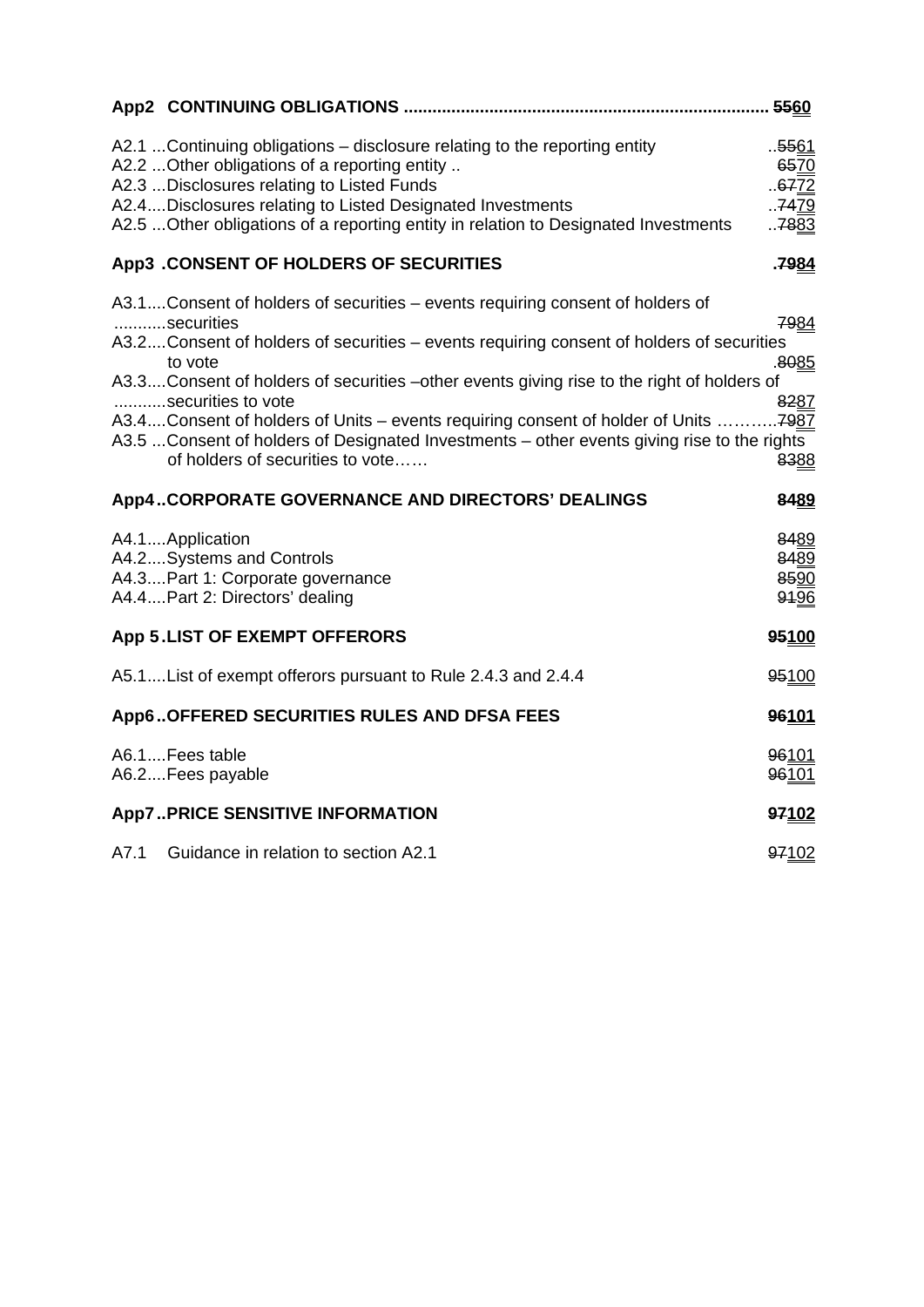|      |                                                                                                                                                                                                                                                                                                                                                                                                                                                                                                                                                | . 5560                                                |
|------|------------------------------------------------------------------------------------------------------------------------------------------------------------------------------------------------------------------------------------------------------------------------------------------------------------------------------------------------------------------------------------------------------------------------------------------------------------------------------------------------------------------------------------------------|-------------------------------------------------------|
|      | A2.1 Continuing obligations – disclosure relating to the reporting entity<br>A2.2  Other obligations of a reporting entity<br>A2.3  Disclosures relating to Listed Funds<br>A2.4Disclosures relating to Listed Designated Investments<br>A2.5  Other obligations of a reporting entity in relation to Designated Investments                                                                                                                                                                                                                   | 5561<br>6570<br>67 <u>72</u><br>.7479<br>78 <u>83</u> |
|      | App3 .CONSENT OF HOLDERS OF SECURITIES                                                                                                                                                                                                                                                                                                                                                                                                                                                                                                         | <u>7984.</u>                                          |
|      | A3.1Consent of holders of securities - events requiring consent of holders of<br>securities<br>A3.2Consent of holders of securities – events requiring consent of holders of securities<br>to vote<br>A3.3Consent of holders of securities -other events giving rise to the right of holders of<br>securities to vote<br>A3.4Consent of holders of Units – events requiring consent of holder of Units 7987<br>A3.5  Consent of holders of Designated Investments – other events giving rise to the rights<br>of holders of securities to vote | 7984<br>8085<br>8287<br>8388                          |
|      | <b>App4CORPORATE GOVERNANCE AND DIRECTORS' DEALINGS</b>                                                                                                                                                                                                                                                                                                                                                                                                                                                                                        | 8489                                                  |
|      | A4.1Application<br>A4.2 Systems and Controls<br>A4.3 Part 1: Corporate governance<br>A4.4Part 2: Directors' dealing                                                                                                                                                                                                                                                                                                                                                                                                                            | 8489<br>8489<br>8590<br>9196                          |
|      | App 5.LIST OF EXEMPT OFFERORS                                                                                                                                                                                                                                                                                                                                                                                                                                                                                                                  | 95100                                                 |
|      | A5.1List of exempt offerors pursuant to Rule 2.4.3 and 2.4.4                                                                                                                                                                                                                                                                                                                                                                                                                                                                                   | 95100                                                 |
|      | App6OFFERED SECURITIES RULES AND DFSA FEES                                                                                                                                                                                                                                                                                                                                                                                                                                                                                                     | 96101                                                 |
|      | A6.1Fees table<br>A6.2Fees payable                                                                                                                                                                                                                                                                                                                                                                                                                                                                                                             | 96101<br>96101                                        |
|      | <b>App7PRICE SENSITIVE INFORMATION</b>                                                                                                                                                                                                                                                                                                                                                                                                                                                                                                         | 97102                                                 |
| A7.1 | Guidance in relation to section A2.1                                                                                                                                                                                                                                                                                                                                                                                                                                                                                                           | 97102                                                 |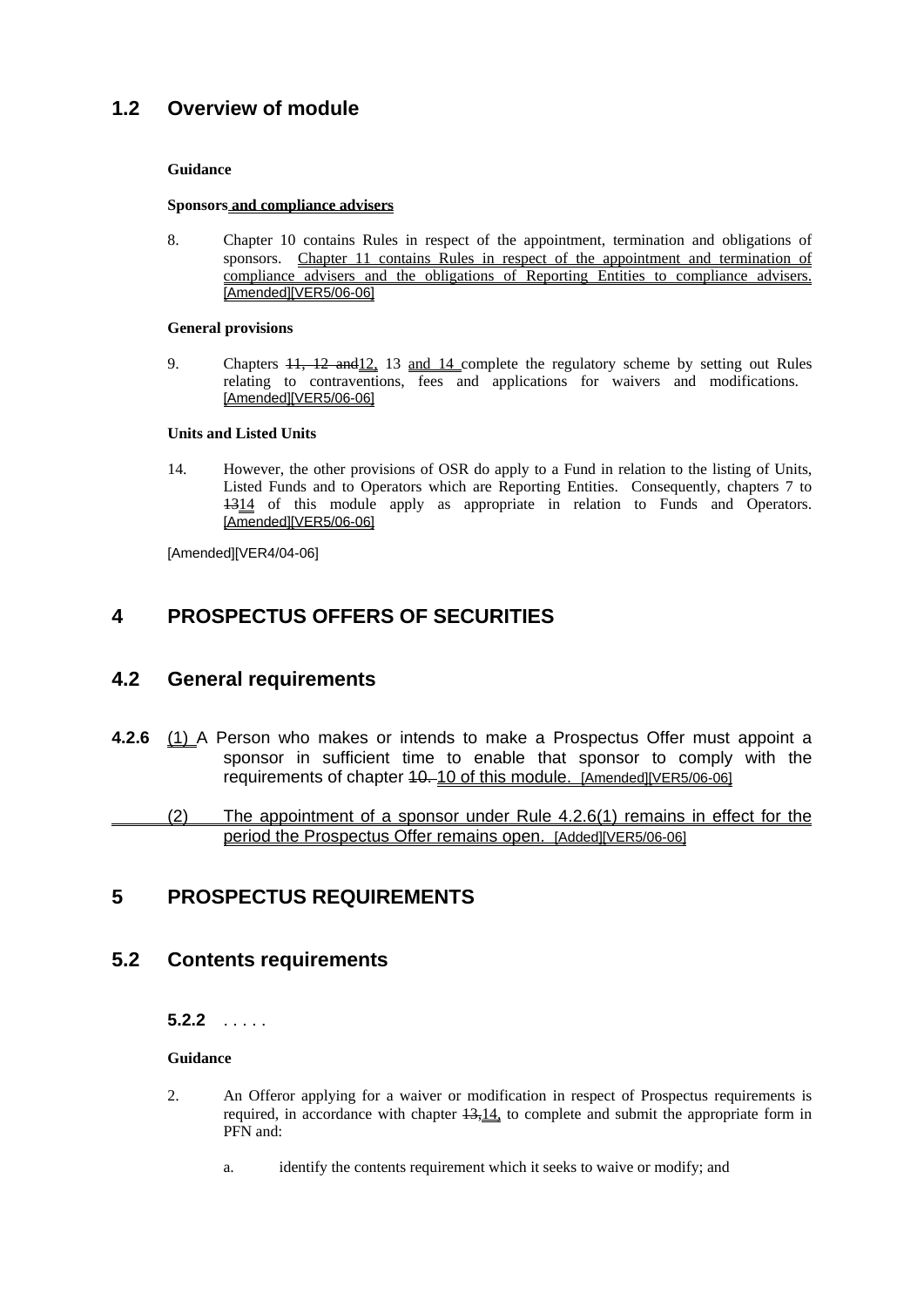#### **Guidance**

#### **Sponsors and compliance advisers**

8. Chapter 10 contains Rules in respect of the appointment, termination and obligations of sponsors. Chapter 11 contains Rules in respect of the appointment and termination of compliance advisers and the obligations of Reporting Entities to compliance advisers. [Amended][VER5/06-06]

#### **General provisions**

9. Chapters  $11$ ,  $12$  and  $12$ ,  $13$  and  $14$  complete the regulatory scheme by setting out Rules relating to contraventions, fees and applications for waivers and modifications. [Amended][VER5/06-06]

#### **Units and Listed Units**

14. However, the other provisions of OSR do apply to a Fund in relation to the listing of Units, Listed Funds and to Operators which are Reporting Entities. Consequently, chapters 7 to 1314 of this module apply as appropriate in relation to Funds and Operators. [Amended][VER5/06-06]

[Amended][VER4/04-06]

## **4 PROSPECTUS OFFERS OF SECURITIES**

#### **4.2 General requirements**

**4.2.6** (1) A Person who makes or intends to make a Prospectus Offer must appoint a sponsor in sufficient time to enable that sponsor to comply with the requirements of chapter 10. 10 of this module. [Amended][VER5/06-06]

 (2) The appointment of a sponsor under Rule 4.2.6(1) remains in effect for the period the Prospectus Offer remains open. [Added][VER5/06-06]

## **5 PROSPECTUS REQUIREMENTS**

#### **5.2 Contents requirements**

**5.2.2** . . . . .

#### **Guidance**

- 2. An Offeror applying for a waiver or modification in respect of Prospectus requirements is required, in accordance with chapter 13,14, to complete and submit the appropriate form in PFN and:
	- a. identify the contents requirement which it seeks to waive or modify; and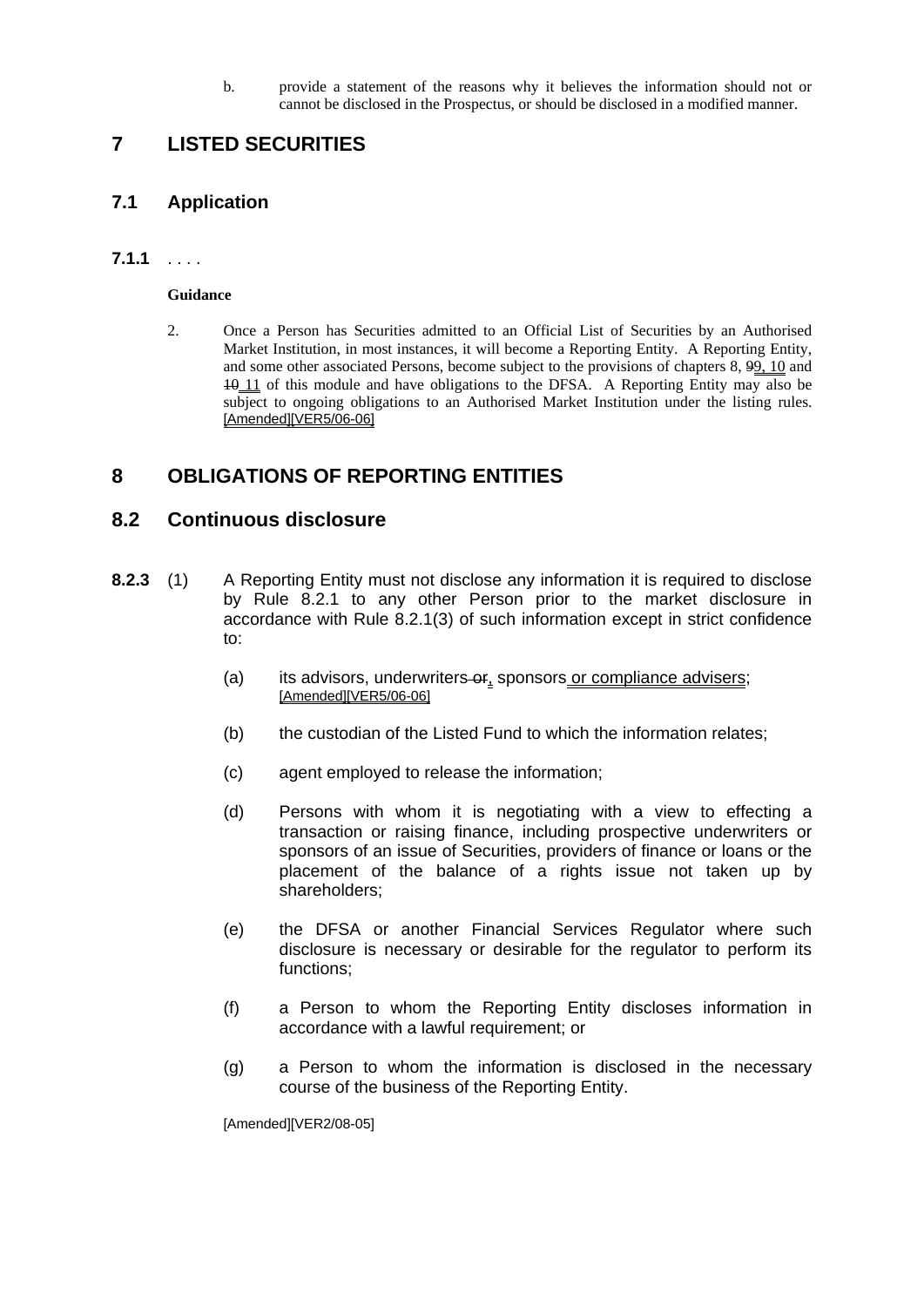b. provide a statement of the reasons why it believes the information should not or cannot be disclosed in the Prospectus, or should be disclosed in a modified manner.

#### **7 LISTED SECURITIES**

#### **7.1 Application**

#### **7.1.1** . . . .

#### **Guidance**

2. Once a Person has Securities admitted to an Official List of Securities by an Authorised Market Institution, in most instances, it will become a Reporting Entity. A Reporting Entity, and some other associated Persons, become subject to the provisions of chapters 8, 99, 10 and 10 11 of this module and have obligations to the DFSA. A Reporting Entity may also be subject to ongoing obligations to an Authorised Market Institution under the listing rules. [Amended][VER5/06-06]

#### **8 OBLIGATIONS OF REPORTING ENTITIES**

#### **8.2 Continuous disclosure**

- **8.2.3** (1) A Reporting Entity must not disclose any information it is required to disclose by Rule 8.2.1 to any other Person prior to the market disclosure in accordance with Rule 8.2.1(3) of such information except in strict confidence to:
	- (a) its advisors, underwriters or, sponsors or compliance advisers; [Amended][VER5/06-06]
	- (b) the custodian of the Listed Fund to which the information relates;
	- (c) agent employed to release the information;
	- (d) Persons with whom it is negotiating with a view to effecting a transaction or raising finance, including prospective underwriters or sponsors of an issue of Securities, providers of finance or loans or the placement of the balance of a rights issue not taken up by shareholders;
	- (e) the DFSA or another Financial Services Regulator where such disclosure is necessary or desirable for the regulator to perform its functions;
	- (f) a Person to whom the Reporting Entity discloses information in accordance with a lawful requirement; or
	- (g) a Person to whom the information is disclosed in the necessary course of the business of the Reporting Entity.

[Amended][VER2/08-05]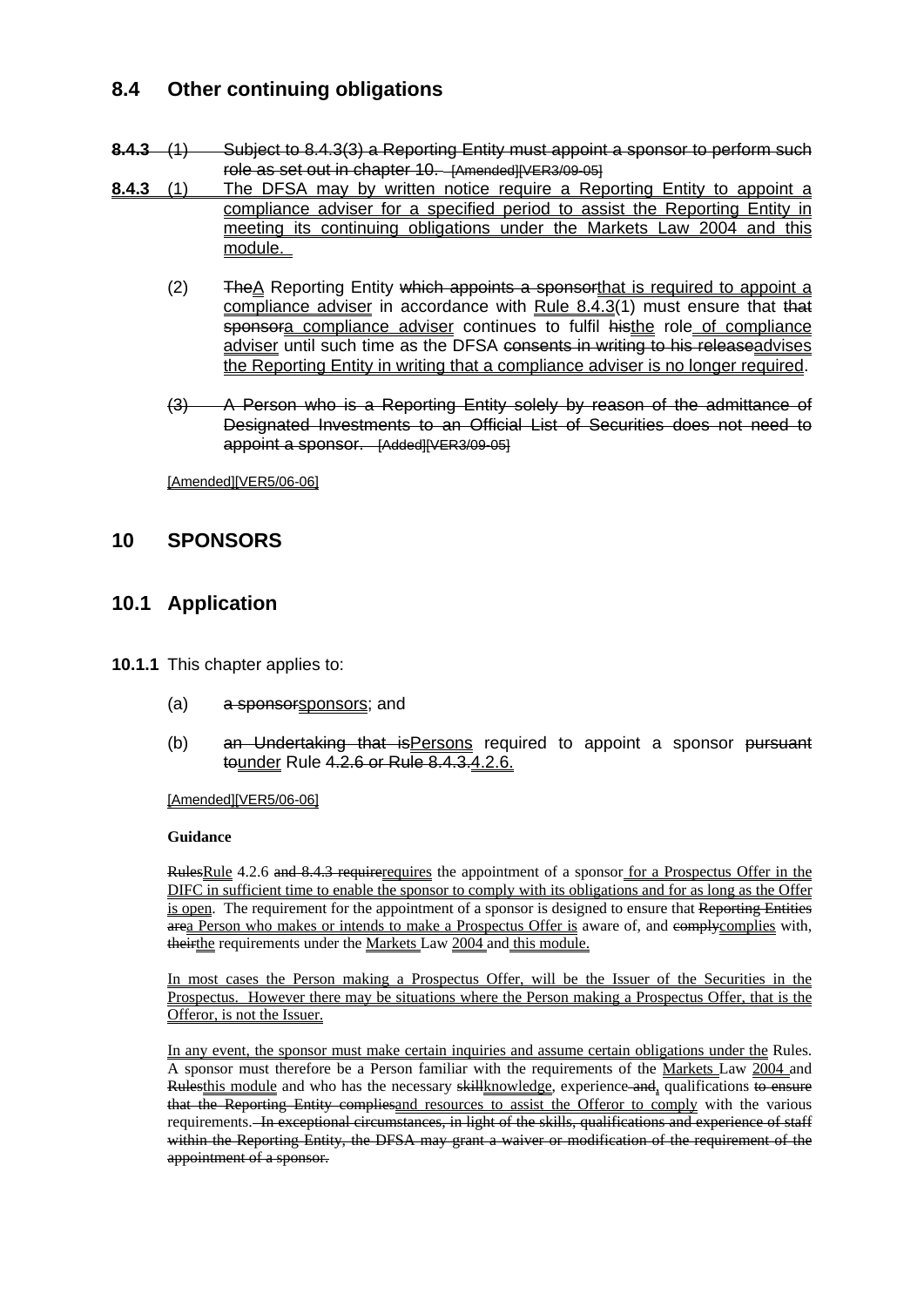## **8.4 Other continuing obligations**

- **8.4.3** (1) Subject to 8.4.3(3) a Reporting Entity must appoint a sponsor to perform such role as set out in chapter 10. [Amended][VER3/09-05]
- **8.4.3** (1) The DFSA may by written notice require a Reporting Entity to appoint a compliance adviser for a specified period to assist the Reporting Entity in meeting its continuing obligations under the Markets Law 2004 and this module.
	- (2) The A Reporting Entity which appoints a sponsorthat is required to appoint a compliance adviser in accordance with Rule  $8.4.3(1)$  must ensure that that sponsora compliance adviser continues to fulfil histhe role of compliance adviser until such time as the DFSA consents in writing to his releaseadvises the Reporting Entity in writing that a compliance adviser is no longer required.
	- (3) A Person who is a Reporting Entity solely by reason of the admittance of Designated Investments to an Official List of Securities does not need to appoint a sponsor. [Added][VER3/09-05]

[Amended][VER5/06-06]

#### **10 SPONSORS**

#### **10.1 Application**

- **10.1.1** This chapter applies to:
	- (a) a sponsorsponsors; and
	- (b) an Undertaking that isPersons required to appoint a sponsor pursuant tounder Rule 4.2.6 or Rule 8.4.3.4.2.6.

[Amended][VER5/06-06]

#### **Guidance**

RulesRule 4.2.6 and 8.4.3 requirerequires the appointment of a sponsor for a Prospectus Offer in the DIFC in sufficient time to enable the sponsor to comply with its obligations and for as long as the Offer is open. The requirement for the appointment of a sponsor is designed to ensure that Reporting Entities area Person who makes or intends to make a Prospectus Offer is aware of, and comply complies with, theirthe requirements under the Markets Law 2004 and this module.

In most cases the Person making a Prospectus Offer, will be the Issuer of the Securities in the Prospectus. However there may be situations where the Person making a Prospectus Offer, that is the Offeror, is not the Issuer.

In any event, the sponsor must make certain inquiries and assume certain obligations under the Rules. A sponsor must therefore be a Person familiar with the requirements of the Markets Law 2004 and Rulesthis module and who has the necessary skill knowledge, experience and, qualifications to ensure that the Reporting Entity compliesand resources to assist the Offeror to comply with the various requirements. In exceptional circumstances, in light of the skills, qualifications and experience of staff within the Reporting Entity, the DFSA may grant a waiver or modification of the requirement of the appointment of a sponsor.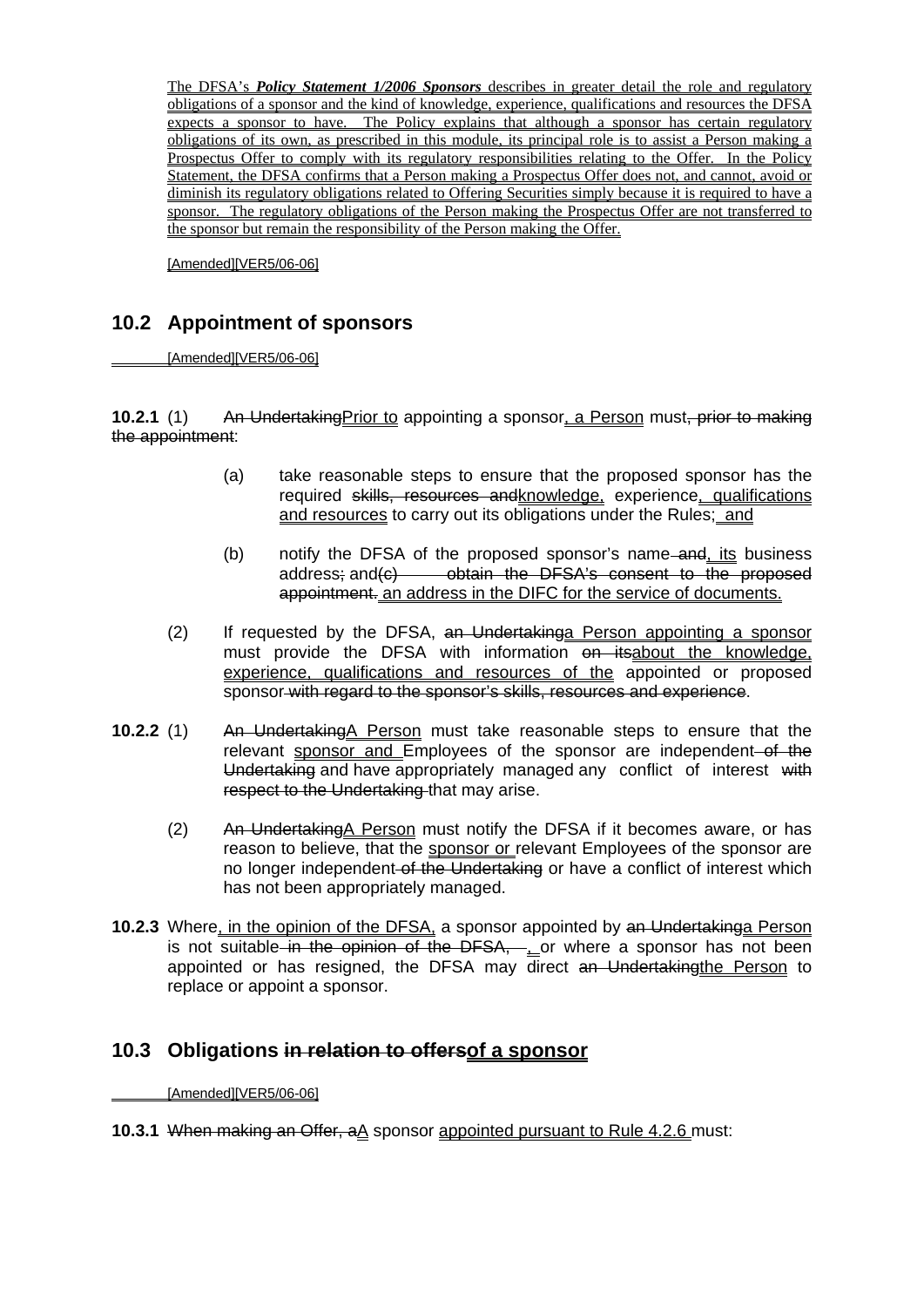The DFSA's *Policy Statement 1/2006 Sponsors* describes in greater detail the role and regulatory obligations of a sponsor and the kind of knowledge, experience, qualifications and resources the DFSA expects a sponsor to have. The Policy explains that although a sponsor has certain regulatory obligations of its own, as prescribed in this module, its principal role is to assist a Person making a Prospectus Offer to comply with its regulatory responsibilities relating to the Offer. In the Policy Statement, the DFSA confirms that a Person making a Prospectus Offer does not, and cannot, avoid or diminish its regulatory obligations related to Offering Securities simply because it is required to have a sponsor. The regulatory obligations of the Person making the Prospectus Offer are not transferred to the sponsor but remain the responsibility of the Person making the Offer.

[Amended][VER5/06-06]

#### **10.2 Appointment of sponsors**

[Amended][VER5/06-06]

**10.2.1** (1) An Undertaking Prior to appointing a sponsor, a Person must, prior to making the appointment:

- (a) take reasonable steps to ensure that the proposed sponsor has the required skills, resources and knowledge, experience, qualifications and resources to carry out its obligations under the Rules; and
- (b) notify the DFSA of the proposed sponsor's name and, its business address; and  $\epsilon$ ) obtain the DFSA's consent to the proposed appointment. an address in the DIFC for the service of documents.
- (2) If requested by the DFSA, an Undertakinga Person appointing a sponsor must provide the DFSA with information on itsabout the knowledge, experience, qualifications and resources of the appointed or proposed sponsor with regard to the sponsor's skills, resources and experience.
- **10.2.2** (1) An UndertakingA Person must take reasonable steps to ensure that the relevant sponsor and Employees of the sponsor are independent of the Undertaking and have appropriately managed any conflict of interest with respect to the Undertaking that may arise.
	- (2) An UndertakingA Person must notify the DFSA if it becomes aware, or has reason to believe, that the sponsor or relevant Employees of the sponsor are no longer independent of the Undertaking or have a conflict of interest which has not been appropriately managed.
- **10.2.3** Where, in the opinion of the DFSA, a sponsor appointed by an Undertakinga Person is not suitable in the opinion of the DFSA, . or where a sponsor has not been appointed or has resigned, the DFSA may direct an Undertaking the Person to replace or appoint a sponsor.

#### **10.3 Obligations in relation to offersof a sponsor**

[Amended][VER5/06-06]

#### **10.3.1** When making an Offer, aA sponsor appointed pursuant to Rule 4.2.6 must: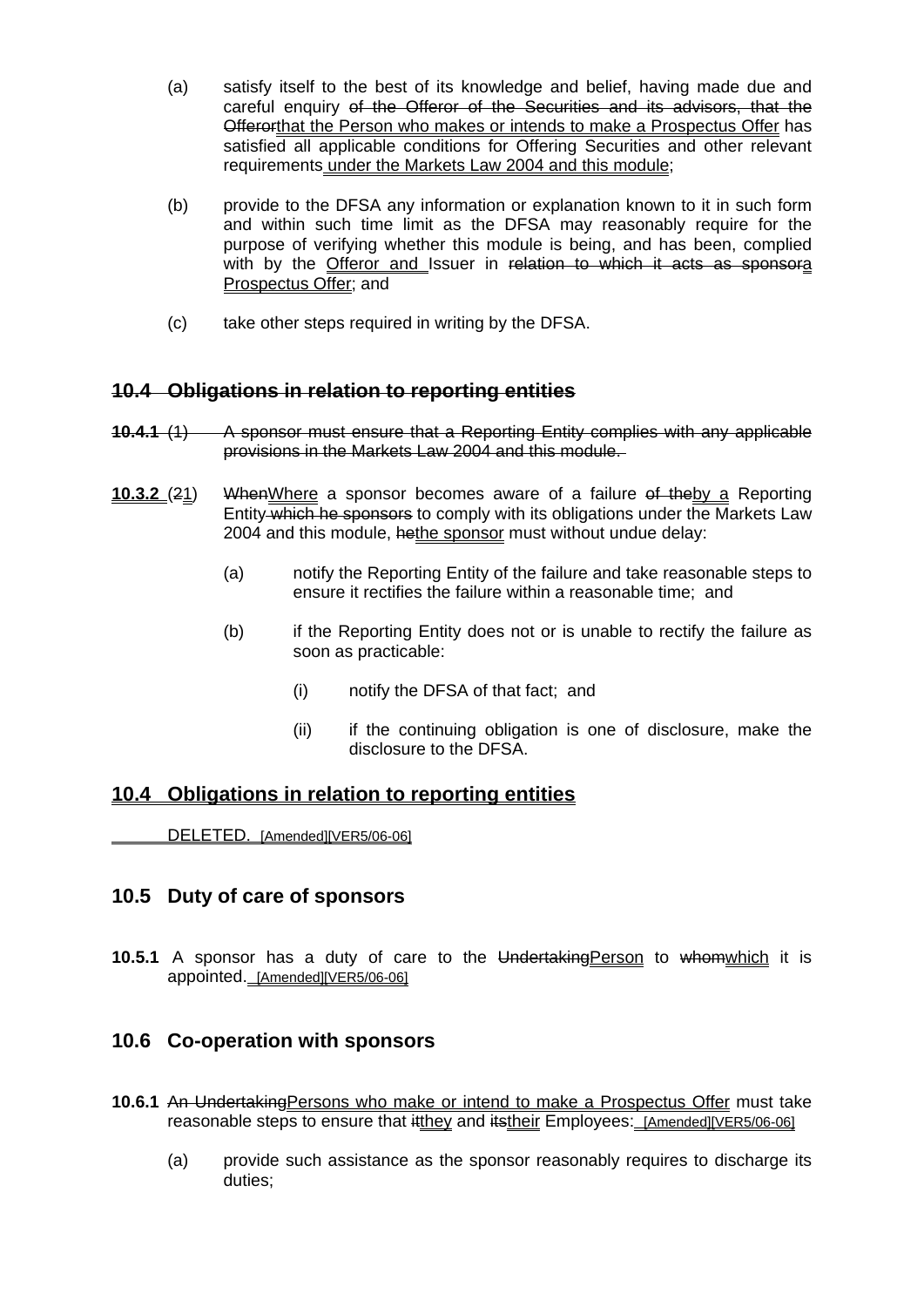- (a) satisfy itself to the best of its knowledge and belief, having made due and careful enquiry of the Offeror of the Securities and its advisors, that the Offerorthat the Person who makes or intends to make a Prospectus Offer has satisfied all applicable conditions for Offering Securities and other relevant requirements under the Markets Law 2004 and this module;
- (b) provide to the DFSA any information or explanation known to it in such form and within such time limit as the DFSA may reasonably require for the purpose of verifying whether this module is being, and has been, complied with by the Offeror and Issuer in relation to which it acts as sponsora Prospectus Offer; and
- (c) take other steps required in writing by the DFSA.

#### **10.4 Obligations in relation to reporting entities**

- **10.4.1** (1) A sponsor must ensure that a Reporting Entity complies with any applicable provisions in the Markets Law 2004 and this module.
- **10.3.2** (21) WhenWhere a sponsor becomes aware of a failure of theby a Reporting Entity which he sponsors to comply with its obligations under the Markets Law 2004 and this module, hethe sponsor must without undue delay:
	- (a) notify the Reporting Entity of the failure and take reasonable steps to ensure it rectifies the failure within a reasonable time; and
	- (b) if the Reporting Entity does not or is unable to rectify the failure as soon as practicable:
		- (i) notify the DFSA of that fact; and
		- (ii) if the continuing obligation is one of disclosure, make the disclosure to the DFSA.

#### **10.4 Obligations in relation to reporting entities**

DELETED. [Amended][VER5/06-06]

#### **10.5 Duty of care of sponsors**

**10.5.1** A sponsor has a duty of care to the Undertaking Person to whom which it is appointed. [Amended][VER5/06-06]

#### **10.6 Co-operation with sponsors**

- **10.6.1** An UndertakingPersons who make or intend to make a Prospectus Offer must take reasonable steps to ensure that  $\frac{H_t}{H_t}$  and  $\frac{H_t}{H_t}$  Employees: [Amended][VER5/06-06]
	- (a) provide such assistance as the sponsor reasonably requires to discharge its duties;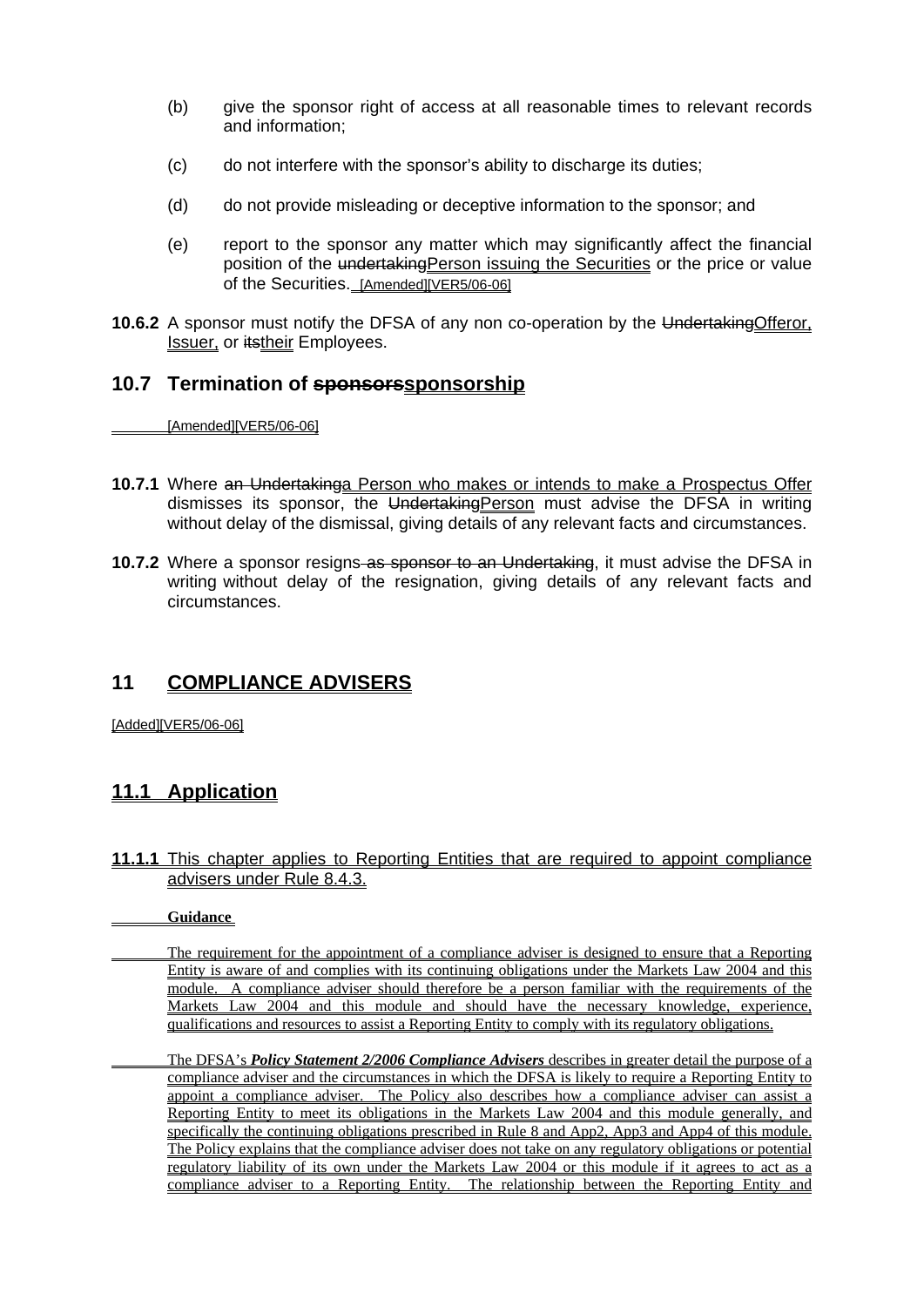- (b) give the sponsor right of access at all reasonable times to relevant records and information;
- (c) do not interfere with the sponsor's ability to discharge its duties;
- (d) do not provide misleading or deceptive information to the sponsor; and
- (e) report to the sponsor any matter which may significantly affect the financial position of the undertakingPerson issuing the Securities or the price or value of the Securities. [Amended][VER5/06-06]
- **10.6.2** A sponsor must notify the DFSA of any non co-operation by the UndertakingOfferor, Issuer, or itstheir Employees.

#### **10.7 Termination of sponsorssponsorship**

[Amended][VER5/06-06]

- **10.7.1** Where an Undertakinga Person who makes or intends to make a Prospectus Offer dismisses its sponsor, the UndertakingPerson must advise the DFSA in writing without delay of the dismissal, giving details of any relevant facts and circumstances.
- **10.7.2** Where a sponsor resigns as sponsor to an Undertaking, it must advise the DFSA in writing without delay of the resignation, giving details of any relevant facts and circumstances.

#### **11 COMPLIANCE ADVISERS**

[Added][VER5/06-06]

#### **11.1 Application**

**11.1.1** This chapter applies to Reporting Entities that are required to appoint compliance advisers under Rule 8.4.3.

**Guidance** 

- The requirement for the appointment of a compliance adviser is designed to ensure that a Reporting Entity is aware of and complies with its continuing obligations under the Markets Law 2004 and this module. A compliance adviser should therefore be a person familiar with the requirements of the Markets Law 2004 and this module and should have the necessary knowledge, experience, qualifications and resources to assist a Reporting Entity to comply with its regulatory obligations.
- The DFSA's *Policy Statement 2/2006 Compliance Advisers* describes in greater detail the purpose of a compliance adviser and the circumstances in which the DFSA is likely to require a Reporting Entity to appoint a compliance adviser. The Policy also describes how a compliance adviser can assist a Reporting Entity to meet its obligations in the Markets Law 2004 and this module generally, and specifically the continuing obligations prescribed in Rule 8 and App2, App3 and App4 of this module. The Policy explains that the compliance adviser does not take on any regulatory obligations or potential regulatory liability of its own under the Markets Law 2004 or this module if it agrees to act as a compliance adviser to a Reporting Entity. The relationship between the Reporting Entity and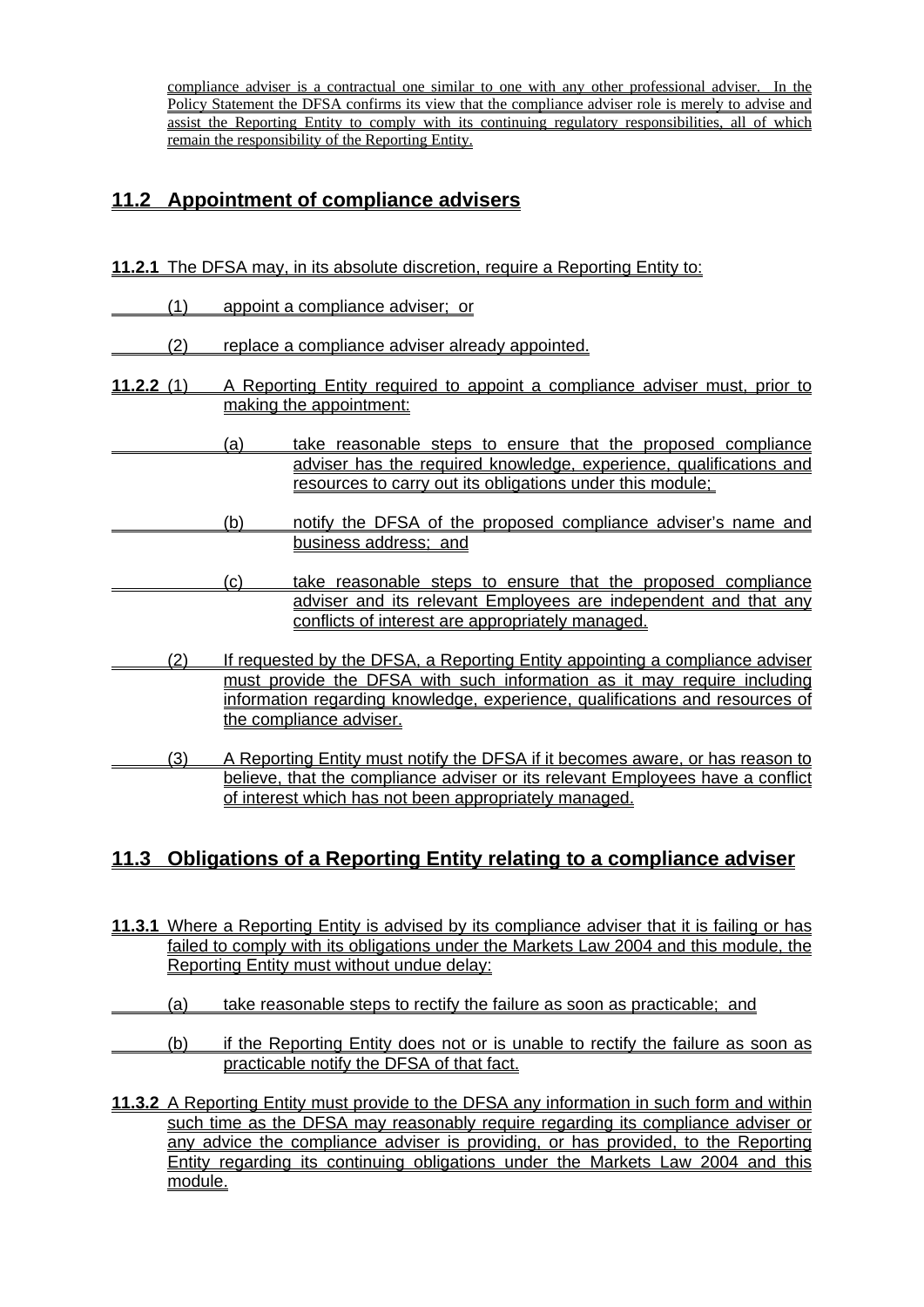compliance adviser is a contractual one similar to one with any other professional adviser. In the Policy Statement the DFSA confirms its view that the compliance adviser role is merely to advise and assist the Reporting Entity to comply with its continuing regulatory responsibilities, all of which remain the responsibility of the Reporting Entity.

## **11.2 Appointment of compliance advisers**

- **11.2.1** The DFSA may, in its absolute discretion, require a Reporting Entity to:
- (1) appoint a compliance adviser; or
- (2) replace a compliance adviser already appointed.
- **11.2.2** (1) A Reporting Entity required to appoint a compliance adviser must, prior to making the appointment:
- (a) take reasonable steps to ensure that the proposed compliance adviser has the required knowledge, experience, qualifications and resources to carry out its obligations under this module;
	- (b) notify the DFSA of the proposed compliance adviser's name and business address; and
- (c) take reasonable steps to ensure that the proposed compliance adviser and its relevant Employees are independent and that any conflicts of interest are appropriately managed.
	- (2) If requested by the DFSA, a Reporting Entity appointing a compliance adviser must provide the DFSA with such information as it may require including information regarding knowledge, experience, qualifications and resources of the compliance adviser.
- (3) A Reporting Entity must notify the DFSA if it becomes aware, or has reason to believe, that the compliance adviser or its relevant Employees have a conflict of interest which has not been appropriately managed.

## **11.3 Obligations of a Reporting Entity relating to a compliance adviser**

- **11.3.1** Where a Reporting Entity is advised by its compliance adviser that it is failing or has failed to comply with its obligations under the Markets Law 2004 and this module, the Reporting Entity must without undue delay:
- (a) take reasonable steps to rectify the failure as soon as practicable; and
- (b) if the Reporting Entity does not or is unable to rectify the failure as soon as practicable notify the DFSA of that fact.
- **11.3.2** A Reporting Entity must provide to the DFSA any information in such form and within such time as the DFSA may reasonably require regarding its compliance adviser or any advice the compliance adviser is providing, or has provided, to the Reporting Entity regarding its continuing obligations under the Markets Law 2004 and this module.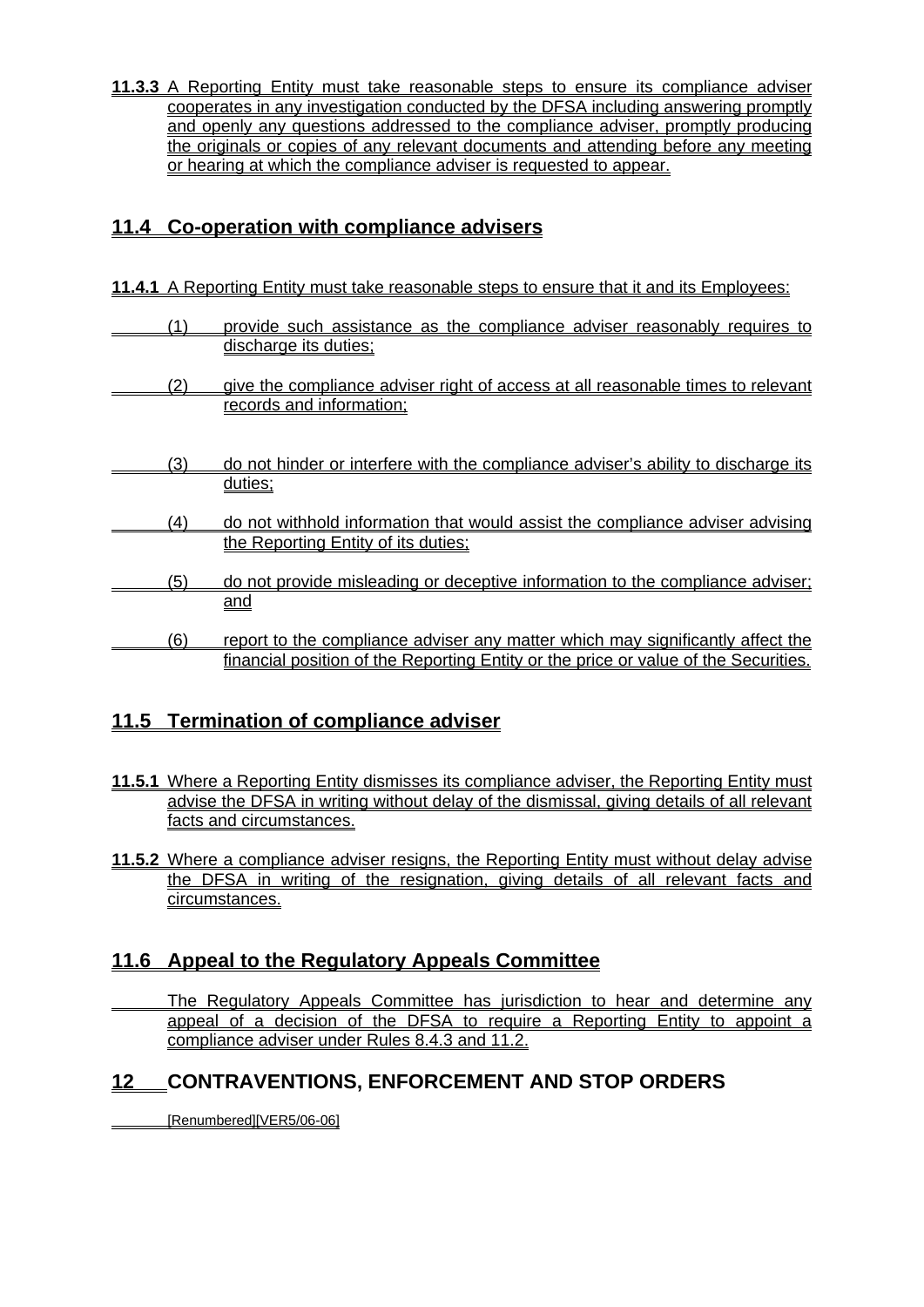**11.3.3** A Reporting Entity must take reasonable steps to ensure its compliance adviser cooperates in any investigation conducted by the DFSA including answering promptly and openly any questions addressed to the compliance adviser, promptly producing the originals or copies of any relevant documents and attending before any meeting or hearing at which the compliance adviser is requested to appear.

## **11.4 Co-operation with compliance advisers**

**11.4.1** A Reporting Entity must take reasonable steps to ensure that it and its Employees:

| (1) | provide such assistance as the compliance adviser reasonably requires to            |
|-----|-------------------------------------------------------------------------------------|
|     | discharge its duties:                                                               |
| (2) | give the compliance adviser right of access at all reasonable times to relevant     |
|     | records and information:                                                            |
|     |                                                                                     |
| (3) | do not hinder or interfere with the compliance adviser's ability to discharge its   |
|     | duties:                                                                             |
| (4) | do not withhold information that would assist the compliance adviser advising       |
|     | the Reporting Entity of its duties:                                                 |
| (5) | do not provide misleading or deceptive information to the compliance adviser;       |
|     | <u>and</u>                                                                          |
| (6) | report to the compliance adviser any matter which may significantly affect the      |
|     | financial position of the Reporting Entity or the price or value of the Securities. |

## **11.5 Termination of compliance adviser**

- 11.5.1 Where a Reporting Entity dismisses its compliance adviser, the Reporting Entity must advise the DFSA in writing without delay of the dismissal, giving details of all relevant facts and circumstances.
- **11.5.2** Where a compliance adviser resigns, the Reporting Entity must without delay advise the DFSA in writing of the resignation, giving details of all relevant facts and circumstances.

## **11.6 Appeal to the Regulatory Appeals Committee**

 The Regulatory Appeals Committee has jurisdiction to hear and determine any appeal of a decision of the DFSA to require a Reporting Entity to appoint a compliance adviser under Rules 8.4.3 and 11.2.

## **12 CONTRAVENTIONS, ENFORCEMENT AND STOP ORDERS**

[Renumbered][VER5/06-06]